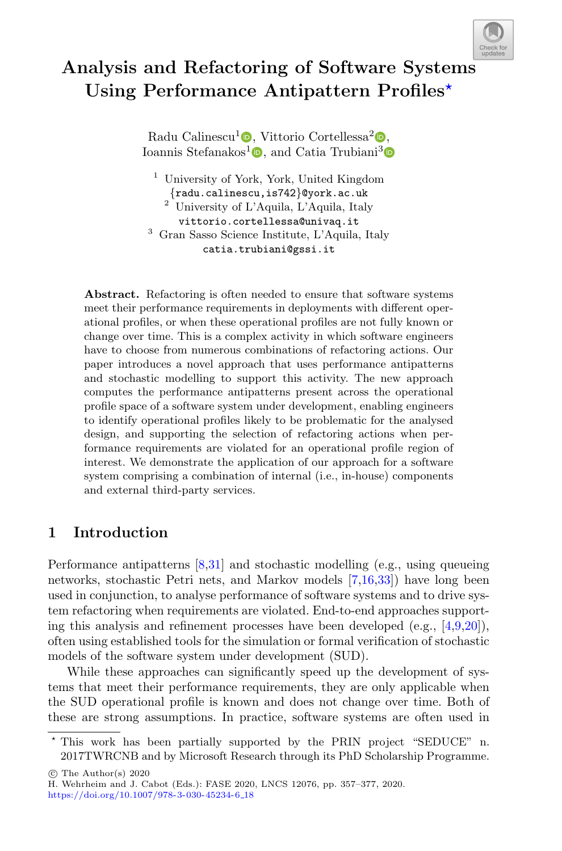

# Analysis and Refactoring of Software System[s](http://crossmark.crossref.org/dialog/?doi=10.1007/978-3-030-45234-6_18&domain=pdf) Using Performance Antipattern Profiles<sup>\*</sup>

Radu Calinescu<sup>1</sup><sup>®</sup>[,](http://orcid.org/0000-0002-4507-464X) Vittorio Cortellessa<sup>2</sup><sup>®</sup>, Ioannis Stefanakos<sup>1</sup><sup>(b)</sup>[,](http://orcid.org/0000-0003-3741-252X) and Catia Trubiani<sup>3</sup>

<sup>1</sup> University of York, York, United Kingdom {radu.calinescu,is742}@york.ac.uk <sup>2</sup> University of L'Aquila, L'Aquila, Italy vittorio.cortellessa@univaq.it <sup>3</sup> Gran Sasso Science Institute, L'Aquila, Italy catia.trubiani@gssi.it

Abstract. Refactoring is often needed to ensure that software systems meet their performance requirements in deployments with different operational profiles, or when these operational profiles are not fully known or change over time. This is a complex activity in which software engineers have to choose from numerous combinations of refactoring actions. Our paper introduces a novel approach that uses performance antipatterns and stochastic modelling to support this activity. The new approach computes the performance antipatterns present across the operational profile space of a software system under development, enabling engineers to identify operational profiles likely to be problematic for the analysed design, and supporting the selection of refactoring actions when performance requirements are violated for an operational profile region of interest. We demonstrate the application of our approach for a software system comprising a combination of internal (i.e., in-house) components and external third-party services.

# 1 Introduction

Performance antipatterns [\[8](#page-18-0)[,31\]](#page-19-0) and stochastic modelling (e.g., using queueing networks, stochastic Petri nets, and Markov models [\[7,](#page-18-1)[16,](#page-18-2)[33\]](#page-19-1)) have long been used in conjunction, to analyse performance of software systems and to drive system refactoring when requirements are violated. End-to-end approaches supporting this analysis and refinement processes have been developed (e.g.,  $[4,9,20]$  $[4,9,20]$  $[4,9,20]$ ), often using established tools for the simulation or formal verification of stochastic models of the software system under development (SUD).

While these approaches can significantly speed up the development of systems that meet their performance requirements, they are only applicable when the SUD operational profile is known and does not change over time. Both of these are strong assumptions. In practice, software systems are often used in

<sup>?</sup> This work has been partially supported by the PRIN project "SEDUCE" n. 2017TWRCNB and by Microsoft Research through its PhD Scholarship Programme.

 $\circled{c}$  The Author(s) 2020

H. Wehrheim and J. Cabot (Eds.): FASE 2020, LNCS 12076, pp. 357–377, 2020. [https://doi.org/10.1007/978-3-030-45234-6](https://doi.org/10.1007/978-3-030-45234-6_18) 18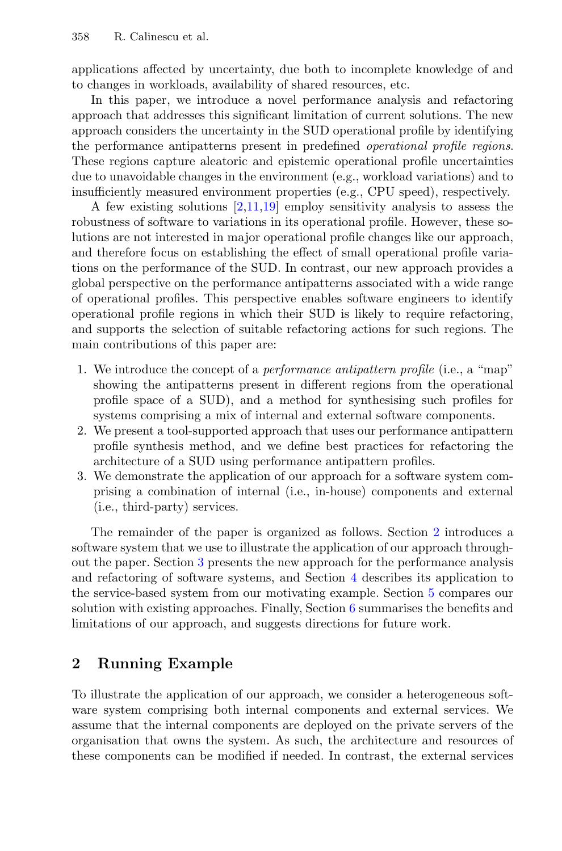applications affected by uncertainty, due both to incomplete knowledge of and to changes in workloads, availability of shared resources, etc.

In this paper, we introduce a novel performance analysis and refactoring approach that addresses this significant limitation of current solutions. The new approach considers the uncertainty in the SUD operational profile by identifying the performance antipatterns present in predefined operational profile regions. These regions capture aleatoric and epistemic operational profile uncertainties due to unavoidable changes in the environment (e.g., workload variations) and to insufficiently measured environment properties (e.g., CPU speed), respectively.

A few existing solutions [\[2](#page-18-5)[,11,](#page-18-6)[19\]](#page-18-7) employ sensitivity analysis to assess the robustness of software to variations in its operational profile. However, these solutions are not interested in major operational profile changes like our approach, and therefore focus on establishing the effect of small operational profile variations on the performance of the SUD. In contrast, our new approach provides a global perspective on the performance antipatterns associated with a wide range of operational profiles. This perspective enables software engineers to identify operational profile regions in which their SUD is likely to require refactoring, and supports the selection of suitable refactoring actions for such regions. The main contributions of this paper are:

- 1. We introduce the concept of a performance antipattern profile (i.e., a "map" showing the antipatterns present in different regions from the operational profile space of a SUD), and a method for synthesising such profiles for systems comprising a mix of internal and external software components.
- 2. We present a tool-supported approach that uses our performance antipattern profile synthesis method, and we define best practices for refactoring the architecture of a SUD using performance antipattern profiles.
- 3. We demonstrate the application of our approach for a software system comprising a combination of internal (i.e., in-house) components and external (i.e., third-party) services.

The remainder of the paper is organized as follows. Section [2](#page-1-0) introduces a software system that we use to illustrate the application of our approach throughout the paper. Section [3](#page-3-0) presents the new approach for the performance analysis and refactoring of software systems, and Section [4](#page-8-0) describes its application to the service-based system from our motivating example. Section [5](#page-16-0) compares our solution with existing approaches. Finally, Section [6](#page-17-0) summarises the benefits and limitations of our approach, and suggests directions for future work.

# <span id="page-1-0"></span>2 Running Example

To illustrate the application of our approach, we consider a heterogeneous software system comprising both internal components and external services. We assume that the internal components are deployed on the private servers of the organisation that owns the system. As such, the architecture and resources of these components can be modified if needed. In contrast, the external services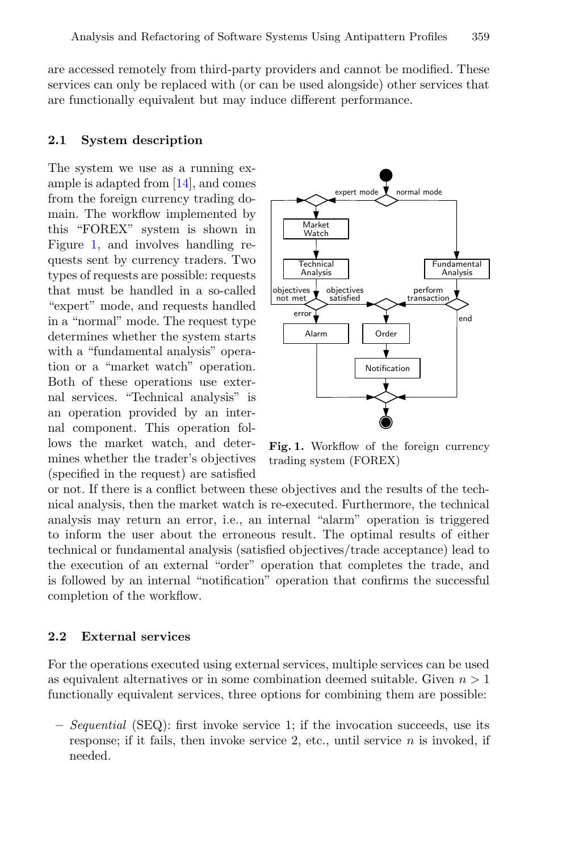are accessed remotely from third-party providers and cannot be modified. These services can only be replaced with (or can be used alongside) other services that are functionally equivalent but may induce different performance.

#### 2.1 System description

The system we use as a running example is adapted from [\[14\]](#page-18-8), and comes from the foreign currency trading domain. The workflow implemented by this "FOREX" system is shown in Figure [1,](#page-2-0) and involves handling requests sent by currency traders. Two types of requests are possible: requests that must be handled in a so-called "expert" mode, and requests handled in a "normal" mode. The request type determines whether the system starts with a "fundamental analysis" operation or a "market watch" operation. Both of these operations use external services. "Technical analysis" is an operation provided by an internal component. This operation follows the market watch, and determines whether the trader's objectives (specified in the request) are satisfied



<span id="page-2-0"></span>Fig. 1. Workflow of the foreign currency trading system (FOREX)

or not. If there is a conflict between these objectives and the results of the technical analysis, then the market watch is re-executed. Furthermore, the technical analysis may return an error, i.e., an internal "alarm" operation is triggered to inform the user about the erroneous result. The optimal results of either technical or fundamental analysis (satisfied objectives/trade acceptance) lead to the execution of an external "order" operation that completes the trade, and is followed by an internal "notification" operation that confirms the successful completion of the workflow.

#### <span id="page-2-1"></span>2.2 External services

For the operations executed using external services, multiple services can be used as equivalent alternatives or in some combination deemed suitable. Given  $n > 1$ functionally equivalent services, three options for combining them are possible:

 $-$  Sequential (SEQ): first invoke service 1; if the invocation succeeds, use its response; if it fails, then invoke service  $2$ , etc., until service  $n$  is invoked, if needed.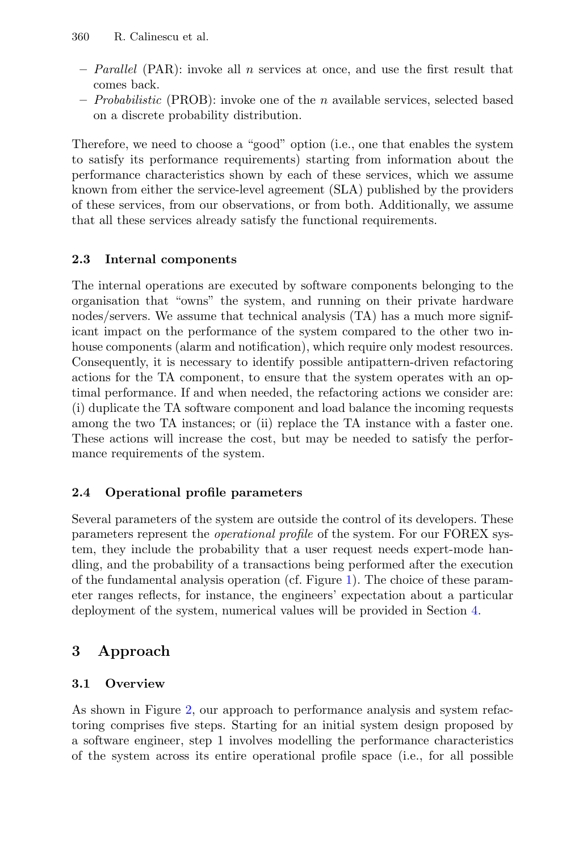- $-$  Parallel (PAR): invoke all n services at once, and use the first result that comes back.
- $-$  *Probabilistic* (PROB): invoke one of the *n* available services, selected based on a discrete probability distribution.

Therefore, we need to choose a "good" option (i.e., one that enables the system to satisfy its performance requirements) starting from information about the performance characteristics shown by each of these services, which we assume known from either the service-level agreement (SLA) published by the providers of these services, from our observations, or from both. Additionally, we assume that all these services already satisfy the functional requirements.

# 2.3 Internal components

The internal operations are executed by software components belonging to the organisation that "owns" the system, and running on their private hardware nodes/servers. We assume that technical analysis  $(TA)$  has a much more significant impact on the performance of the system compared to the other two inhouse components (alarm and notification), which require only modest resources. Consequently, it is necessary to identify possible antipattern-driven refactoring actions for the TA component, to ensure that the system operates with an optimal performance. If and when needed, the refactoring actions we consider are: (i) duplicate the TA software component and load balance the incoming requests among the two TA instances; or (ii) replace the TA instance with a faster one. These actions will increase the cost, but may be needed to satisfy the performance requirements of the system.

# 2.4 Operational profile parameters

Several parameters of the system are outside the control of its developers. These parameters represent the operational profile of the system. For our FOREX system, they include the probability that a user request needs expert-mode handling, and the probability of a transactions being performed after the execution of the fundamental analysis operation (cf. Figure [1\)](#page-2-0). The choice of these parameter ranges reflects, for instance, the engineers' expectation about a particular deployment of the system, numerical values will be provided in Section [4.](#page-8-0)

# <span id="page-3-0"></span>3 Approach

# 3.1 Overview

As shown in Figure [2,](#page-4-0) our approach to performance analysis and system refactoring comprises five steps. Starting for an initial system design proposed by a software engineer, step 1 involves modelling the performance characteristics of the system across its entire operational profile space (i.e., for all possible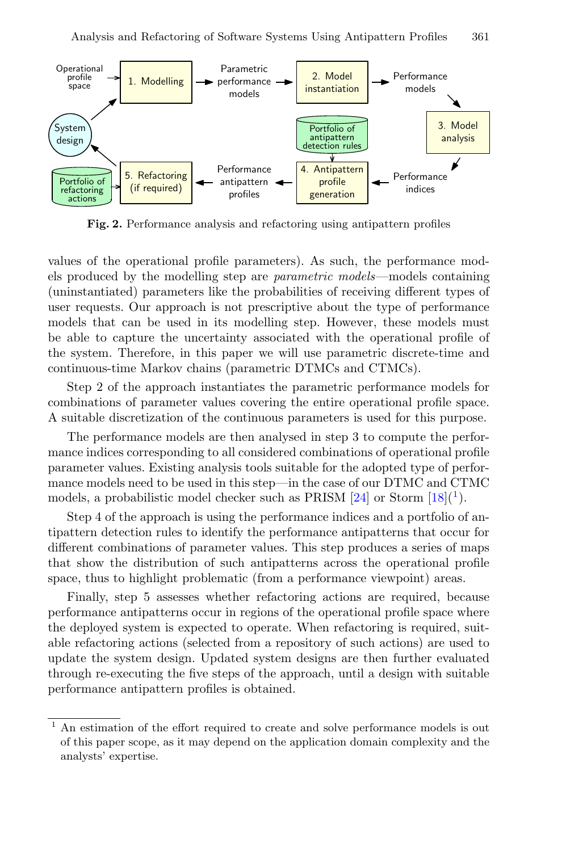

<span id="page-4-0"></span>Fig. 2. Performance analysis and refactoring using antipattern profiles

values of the operational profile parameters). As such, the performance models produced by the modelling step are parametric models—models containing (uninstantiated) parameters like the probabilities of receiving different types of user requests. Our approach is not prescriptive about the type of performance models that can be used in its modelling step. However, these models must be able to capture the uncertainty associated with the operational profile of the system. Therefore, in this paper we will use parametric discrete-time and continuous-time Markov chains (parametric DTMCs and CTMCs).

Step 2 of the approach instantiates the parametric performance models for combinations of parameter values covering the entire operational profile space. A suitable discretization of the continuous parameters is used for this purpose.

The performance models are then analysed in step 3 to compute the performance indices corresponding to all considered combinations of operational profile parameter values. Existing analysis tools suitable for the adopted type of performance models need to be used in this step—in the case of our DTMC and CTMC models, a probabilistic model checker such as PRISM  $[24]$  or Storm  $[18](1)$  $[18](1)$  $[18](1)$  $[18](1)$ .

Step 4 of the approach is using the performance indices and a portfolio of antipattern detection rules to identify the performance antipatterns that occur for different combinations of parameter values. This step produces a series of maps that show the distribution of such antipatterns across the operational profile space, thus to highlight problematic (from a performance viewpoint) areas.

Finally, step 5 assesses whether refactoring actions are required, because performance antipatterns occur in regions of the operational profile space where the deployed system is expected to operate. When refactoring is required, suitable refactoring actions (selected from a repository of such actions) are used to update the system design. Updated system designs are then further evaluated through re-executing the five steps of the approach, until a design with suitable performance antipattern profiles is obtained.

<span id="page-4-1"></span><sup>1</sup> An estimation of the effort required to create and solve performance models is out of this paper scope, as it may depend on the application domain complexity and the analysts' expertise.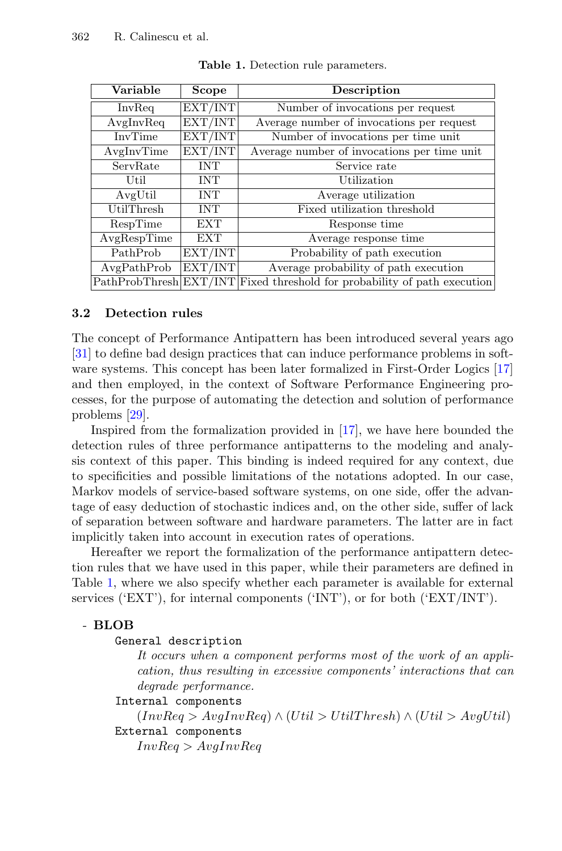| Variable       | <b>Scope</b>                       | Description                                                              |
|----------------|------------------------------------|--------------------------------------------------------------------------|
| InvReq         | EXT/INT                            | Number of invocations per request                                        |
| AvgInvReq      | EXT/INT                            | Average number of invocations per request                                |
| <b>InvTime</b> | EXT/INT                            | Number of invocations per time unit                                      |
| AvgInvTime     | $\overline{\text{EXT}/\text{INT}}$ | Average number of invocations per time unit                              |
| ServRate       | <b>INT</b>                         | Service rate                                                             |
| Util           | <b>INT</b>                         | Utilization                                                              |
| AvgUtil        | <b>INT</b>                         | Average utilization                                                      |
| UtilThresh     | <b>INT</b>                         | Fixed utilization threshold                                              |
| RespTime       | <b>EXT</b>                         | Response time                                                            |
| AvgRespTime    | <b>EXT</b>                         | Average response time                                                    |
| PathProb       | EXT/INT                            | Probability of path execution                                            |
| AvgPathProb    | EXT/INT                            | Average probability of path execution                                    |
|                |                                    | PathProbThresh EXT/INT Fixed threshold for probability of path execution |

<span id="page-5-0"></span>Table 1. Detection rule parameters.

### <span id="page-5-1"></span>3.2 Detection rules

The concept of Performance Antipattern has been introduced several years ago [\[31\]](#page-19-0) to define bad design practices that can induce performance problems in software systems. This concept has been later formalized in First-Order Logics [\[17\]](#page-18-10) and then employed, in the context of Software Performance Engineering processes, for the purpose of automating the detection and solution of performance problems [\[29\]](#page-19-4).

Inspired from the formalization provided in [\[17\]](#page-18-10), we have here bounded the detection rules of three performance antipatterns to the modeling and analysis context of this paper. This binding is indeed required for any context, due to specificities and possible limitations of the notations adopted. In our case, Markov models of service-based software systems, on one side, offer the advantage of easy deduction of stochastic indices and, on the other side, suffer of lack of separation between software and hardware parameters. The latter are in fact implicitly taken into account in execution rates of operations.

Hereafter we report the formalization of the performance antipattern detection rules that we have used in this paper, while their parameters are defined in Table [1,](#page-5-0) where we also specify whether each parameter is available for external services ('EXT'), for internal components ('INT'), or for both ('EXT/INT').

### - BLOB

General description

It occurs when a component performs most of the work of an application, thus resulting in excessive components' interactions that can degrade performance.

Internal components

 $(InvReg > AvgInvReg) \wedge (Util > UtilThresh) \wedge (Util > AvgUtil)$ External components

 $InvReq > AvgInvReq$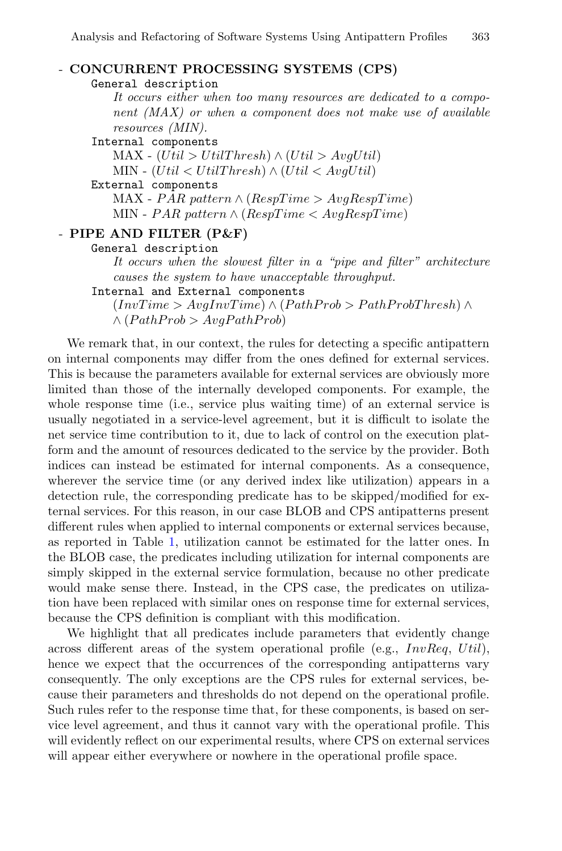### - CONCURRENT PROCESSING SYSTEMS (CPS)

General description

It occurs either when too many resources are dedicated to a component (MAX) or when a component does not make use of available resources (MIN).

Internal components

MAX -  $(Util > UtilThresh) \wedge (Util > AvgUtil)$ MIN -  $(Util < UtilThresh) \wedge (Util < AvgUtil)$ External components MAX -  $PAR$  pattern  $\land$   $(RespTime > AvgRespTime)$ MIN -  $PAR$  pattern  $\land$  (RespTime  $\lt$  AvgRespTime)

#### - PIPE AND FILTER (P&F)

General description

It occurs when the slowest filter in a "pipe and filter" architecture causes the system to have unacceptable throughput.

Internal and External components

```
(InvTime > AvgInvTime) \wedge (PathProb > PathProbThresh) \wedge\wedge (PathProb > AvgPathProb)
```
We remark that, in our context, the rules for detecting a specific antipattern on internal components may differ from the ones defined for external services. This is because the parameters available for external services are obviously more limited than those of the internally developed components. For example, the whole response time (i.e., service plus waiting time) of an external service is usually negotiated in a service-level agreement, but it is difficult to isolate the net service time contribution to it, due to lack of control on the execution platform and the amount of resources dedicated to the service by the provider. Both indices can instead be estimated for internal components. As a consequence, wherever the service time (or any derived index like utilization) appears in a detection rule, the corresponding predicate has to be skipped/modified for external services. For this reason, in our case BLOB and CPS antipatterns present different rules when applied to internal components or external services because, as reported in Table [1,](#page-5-0) utilization cannot be estimated for the latter ones. In the BLOB case, the predicates including utilization for internal components are simply skipped in the external service formulation, because no other predicate would make sense there. Instead, in the CPS case, the predicates on utilization have been replaced with similar ones on response time for external services, because the CPS definition is compliant with this modification.

We highlight that all predicates include parameters that evidently change across different areas of the system operational profile (e.g.,  $InvReg, Util,$ ), hence we expect that the occurrences of the corresponding antipatterns vary consequently. The only exceptions are the CPS rules for external services, because their parameters and thresholds do not depend on the operational profile. Such rules refer to the response time that, for these components, is based on service level agreement, and thus it cannot vary with the operational profile. This will evidently reflect on our experimental results, where CPS on external services will appear either everywhere or nowhere in the operational profile space.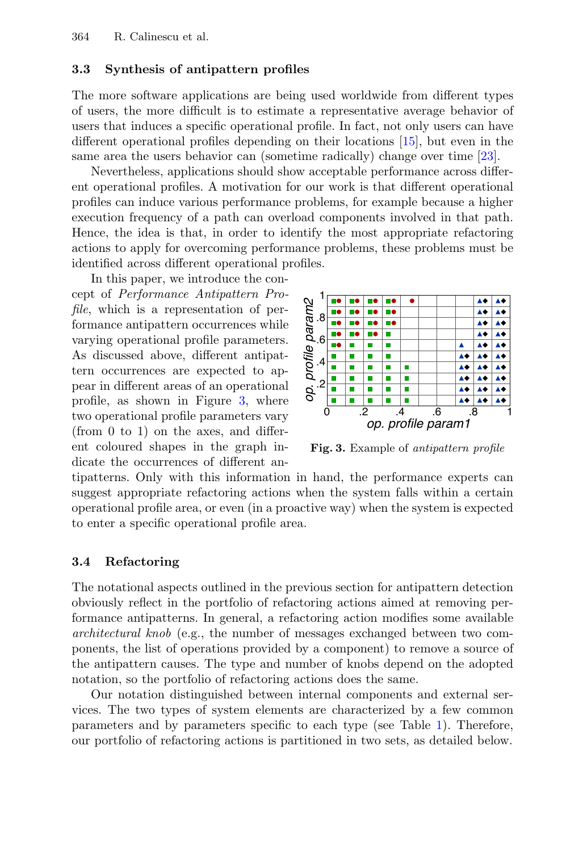#### 3.3 Synthesis of antipattern profiles

The more software applications are being used worldwide from different types of users, the more difficult is to estimate a representative average behavior of users that induces a specific operational profile. In fact, not only users can have different operational profiles depending on their locations [\[15\]](#page-18-11), but even in the same area the users behavior can (sometime radically) change over time [\[23\]](#page-19-5).

Nevertheless, applications should show acceptable performance across different operational profiles. A motivation for our work is that different operational profiles can induce various performance problems, for example because a higher execution frequency of a path can overload components involved in that path. Hence, the idea is that, in order to identify the most appropriate refactoring actions to apply for overcoming performance problems, these problems must be identified across different operational profiles.

In this paper, we introduce the concept of Performance Antipattern Profile, which is a representation of performance antipattern occurrences while varying operational profile parameters. As discussed above, different antipattern occurrences are expected to appear in different areas of an operational profile, as shown in Figure [3,](#page-7-0) where two operational profile parameters vary (from 0 to 1) on the axes, and different coloured shapes in the graph indicate the occurrences of different an-



<span id="page-7-0"></span>Fig. 3. Example of antipattern profile

tipatterns. Only with this information in hand, the performance experts can suggest appropriate refactoring actions when the system falls within a certain operational profile area, or even (in a proactive way) when the system is expected to enter a specific operational profile area.

#### 3.4 Refactoring

The notational aspects outlined in the previous section for antipattern detection obviously reflect in the portfolio of refactoring actions aimed at removing performance antipatterns. In general, a refactoring action modifies some available architectural knob (e.g., the number of messages exchanged between two components, the list of operations provided by a component) to remove a source of the antipattern causes. The type and number of knobs depend on the adopted notation, so the portfolio of refactoring actions does the same.

Our notation distinguished between internal components and external services. The two types of system elements are characterized by a few common parameters and by parameters specific to each type (see Table [1\)](#page-5-0). Therefore, our portfolio of refactoring actions is partitioned in two sets, as detailed below.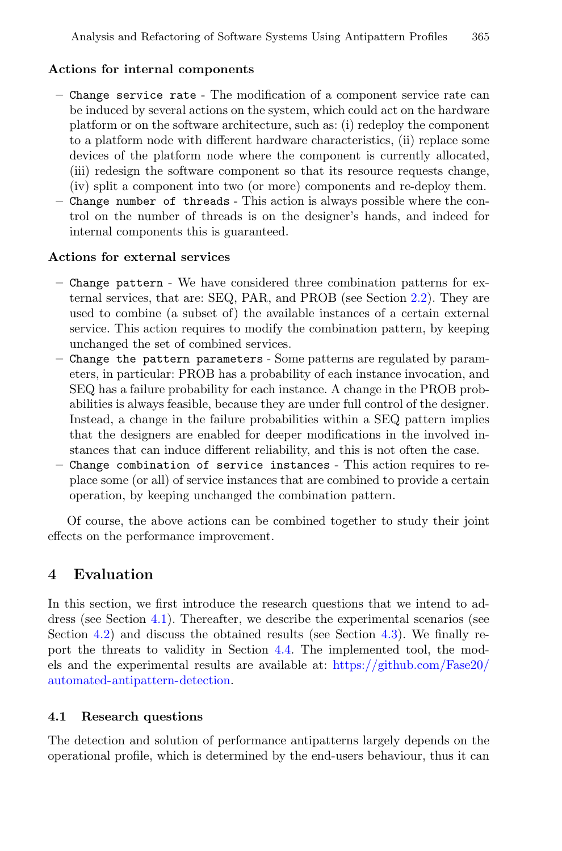#### Actions for internal components

- Change service rate The modification of a component service rate can be induced by several actions on the system, which could act on the hardware platform or on the software architecture, such as: (i) redeploy the component to a platform node with different hardware characteristics, (ii) replace some devices of the platform node where the component is currently allocated, (iii) redesign the software component so that its resource requests change, (iv) split a component into two (or more) components and re-deploy them.
- Change number of threads This action is always possible where the control on the number of threads is on the designer's hands, and indeed for internal components this is guaranteed.

### Actions for external services

- Change pattern We have considered three combination patterns for external services, that are: SEQ, PAR, and PROB (see Section [2.2\)](#page-2-1). They are used to combine (a subset of) the available instances of a certain external service. This action requires to modify the combination pattern, by keeping unchanged the set of combined services.
- Change the pattern parameters Some patterns are regulated by parameters, in particular: PROB has a probability of each instance invocation, and SEQ has a failure probability for each instance. A change in the PROB probabilities is always feasible, because they are under full control of the designer. Instead, a change in the failure probabilities within a SEQ pattern implies that the designers are enabled for deeper modifications in the involved instances that can induce different reliability, and this is not often the case.
- Change combination of service instances This action requires to replace some (or all) of service instances that are combined to provide a certain operation, by keeping unchanged the combination pattern.

Of course, the above actions can be combined together to study their joint effects on the performance improvement.

## <span id="page-8-0"></span>4 Evaluation

In this section, we first introduce the research questions that we intend to address (see Section [4.1\)](#page-8-1). Thereafter, we describe the experimental scenarios (see Section [4.2\)](#page-9-0) and discuss the obtained results (see Section [4.3\)](#page-10-0). We finally report the threats to validity in Section [4.4.](#page-15-0) The implemented tool, the models and the experimental results are available at: [https://github.com/Fase20/](https://github.com/Fase20/automated-antipattern-detection) [automated-antipattern-detection.](https://github.com/Fase20/automated-antipattern-detection)

#### <span id="page-8-1"></span>4.1 Research questions

The detection and solution of performance antipatterns largely depends on the operational profile, which is determined by the end-users behaviour, thus it can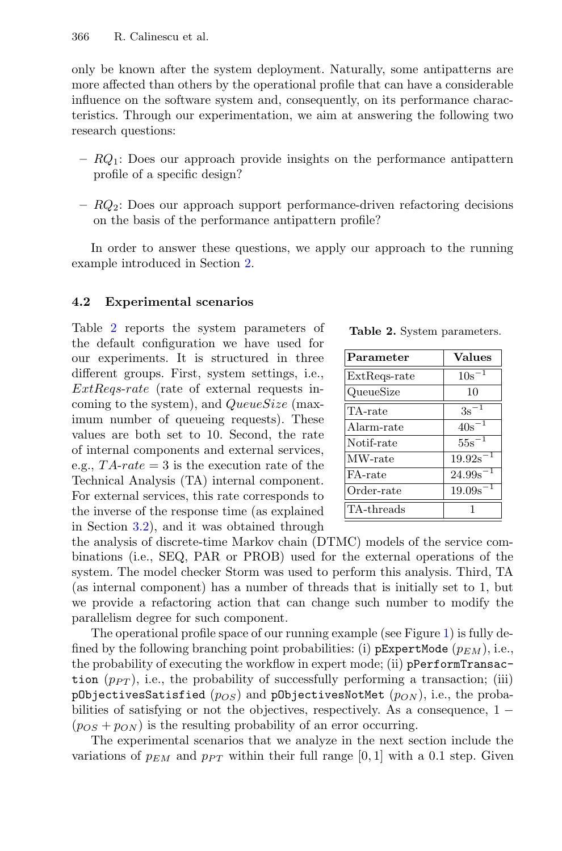only be known after the system deployment. Naturally, some antipatterns are more affected than others by the operational profile that can have a considerable influence on the software system and, consequently, on its performance characteristics. Through our experimentation, we aim at answering the following two research questions:

- $RQ_1$ : Does our approach provide insights on the performance antipattern profile of a specific design?
- $RQ_2$ : Does our approach support performance-driven refactoring decisions on the basis of the performance antipattern profile?

In order to answer these questions, we apply our approach to the running example introduced in Section [2.](#page-1-0)

#### <span id="page-9-0"></span>4.2 Experimental scenarios

Table [2](#page-9-1) reports the system parameters of the default configuration we have used for our experiments. It is structured in three different groups. First, system settings, i.e., ExtReqs-rate (rate of external requests incoming to the system), and  $QueueSize$  (maximum number of queueing requests). These values are both set to 10. Second, the rate of internal components and external services, e.g.,  $TA\text{-}rate = 3$  is the execution rate of the Technical Analysis (TA) internal component. For external services, this rate corresponds to the inverse of the response time (as explained in Section [3.2\)](#page-5-1), and it was obtained through

<span id="page-9-1"></span>Table 2. System parameters.

| Parameter    | <b>Values</b> |
|--------------|---------------|
| ExtReqs-rate | $10s^{-1}$    |
| QueueSize    | 10            |
| TA-rate      | $3s^{-1}$     |
| Alarm-rate   | $40s^-$       |
| Notif-rate   | $55s^{-1}$    |
| MW-rate      | $19.92s^{-1}$ |
| FA-rate      | $24.99s^{-1}$ |
| Order-rate   | $19.09s^{-}$  |
| TA-threads   |               |

the analysis of discrete-time Markov chain (DTMC) models of the service combinations (i.e., SEQ, PAR or PROB) used for the external operations of the system. The model checker Storm was used to perform this analysis. Third, TA (as internal component) has a number of threads that is initially set to 1, but we provide a refactoring action that can change such number to modify the parallelism degree for such component.

The operational profile space of our running example (see Figure [1\)](#page-2-0) is fully defined by the following branching point probabilities: (i)  $pExpertMode (p_{EM})$ , i.e., the probability of executing the workflow in expert mode; (ii) pPerformTransaction  $(p_{PT})$ , i.e., the probability of successfully performing a transaction; (iii) pObjectivesSatisfied  $(p_{OS})$  and pObjectivesNotMet  $(p_{ON})$ , i.e., the probabilities of satisfying or not the objectives, respectively. As a consequence, 1 −  $(p_{OS} + p_{ON})$  is the resulting probability of an error occurring.

The experimental scenarios that we analyze in the next section include the variations of  $p_{EM}$  and  $p_{PT}$  within their full range [0, 1] with a 0.1 step. Given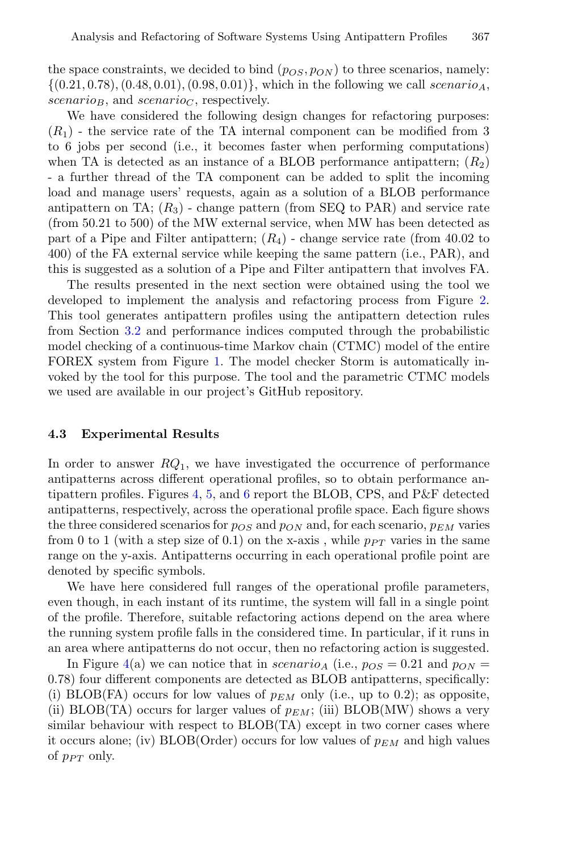the space constraints, we decided to bind  $(p_{OS}, p_{ON})$  to three scenarios, namely:  $\{(0.21, 0.78), (0.48, 0.01), (0.98, 0.01)\},$  which in the following we call scenario<sub>A</sub>, scenario<sub>B</sub>, and scenario<sub>C</sub>, respectively.

We have considered the following design changes for refactoring purposes:  $(R_1)$  - the service rate of the TA internal component can be modified from 3 to 6 jobs per second (i.e., it becomes faster when performing computations) when TA is detected as an instance of a BLOB performance antipattern;  $(R_2)$ - a further thread of the TA component can be added to split the incoming load and manage users' requests, again as a solution of a BLOB performance antipattern on TA;  $(R_3)$  - change pattern (from SEQ to PAR) and service rate (from 50.21 to 500) of the MW external service, when MW has been detected as part of a Pipe and Filter antipattern;  $(R_4)$  - change service rate (from 40.02 to 400) of the FA external service while keeping the same pattern (i.e., PAR), and this is suggested as a solution of a Pipe and Filter antipattern that involves FA.

The results presented in the next section were obtained using the tool we developed to implement the analysis and refactoring process from Figure [2.](#page-4-0) This tool generates antipattern profiles using the antipattern detection rules from Section [3.2](#page-5-1) and performance indices computed through the probabilistic model checking of a continuous-time Markov chain (CTMC) model of the entire FOREX system from Figure [1.](#page-2-0) The model checker Storm is automatically invoked by the tool for this purpose. The tool and the parametric CTMC models we used are available in our project's GitHub repository.

#### <span id="page-10-0"></span>4.3 Experimental Results

In order to answer  $RQ_1$ , we have investigated the occurrence of performance antipatterns across different operational profiles, so to obtain performance antipattern profiles. Figures [4,](#page-11-0) [5,](#page-11-1) and [6](#page-12-0) report the BLOB, CPS, and P&F detected antipatterns, respectively, across the operational profile space. Each figure shows the three considered scenarios for  $p_{OS}$  and  $p_{ON}$  and, for each scenario,  $p_{EM}$  varies from 0 to 1 (with a step size of 0.1) on the x-axis, while  $p_{PT}$  varies in the same range on the y-axis. Antipatterns occurring in each operational profile point are denoted by specific symbols.

We have here considered full ranges of the operational profile parameters, even though, in each instant of its runtime, the system will fall in a single point of the profile. Therefore, suitable refactoring actions depend on the area where the running system profile falls in the considered time. In particular, if it runs in an area where antipatterns do not occur, then no refactoring action is suggested.

In Figure [4\(](#page-11-0)a) we can notice that in scenario<sub>A</sub> (i.e.,  $p_{OS} = 0.21$  and  $p_{ON} =$ 0.78) four different components are detected as BLOB antipatterns, specifically: (i) BLOB(FA) occurs for low values of  $p_{EM}$  only (i.e., up to 0.2); as opposite, (ii) BLOB(TA) occurs for larger values of  $p_{EM}$ ; (iii) BLOB(MW) shows a very similar behaviour with respect to BLOB(TA) except in two corner cases where it occurs alone; (iv) BLOB(Order) occurs for low values of  $p_{EM}$  and high values of  $p_{PT}$  only.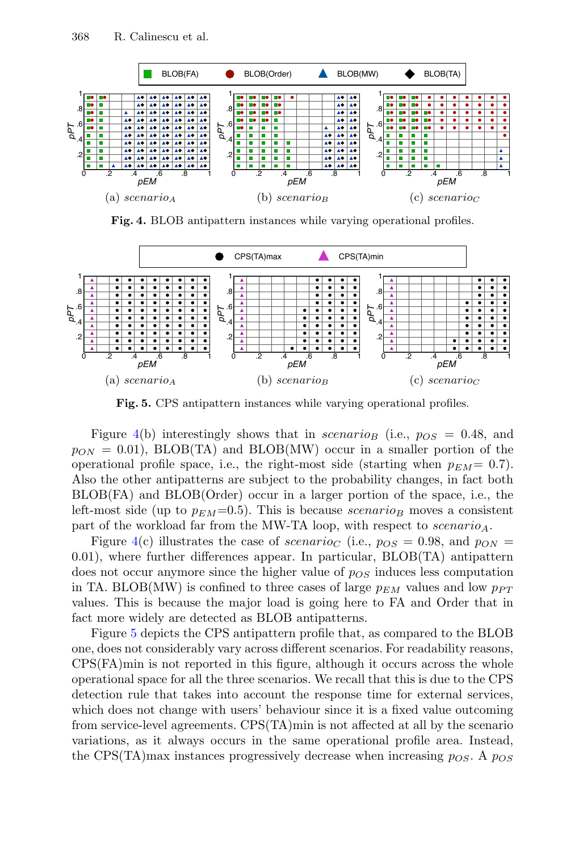

<span id="page-11-0"></span>Fig. 4. BLOB antipattern instances while varying operational profiles.



<span id="page-11-1"></span>Fig. 5. CPS antipattern instances while varying operational profiles.

Figure [4\(](#page-11-0)b) interestingly shows that in *scenario<sub>B</sub>* (i.e.,  $p_{OS} = 0.48$ , and  $p_{ON} = 0.01$ , BLOB(TA) and BLOB(MW) occur in a smaller portion of the operational profile space, i.e., the right-most side (starting when  $p_{EM} = 0.7$ ). Also the other antipatterns are subject to the probability changes, in fact both BLOB(FA) and BLOB(Order) occur in a larger portion of the space, i.e., the left-most side (up to  $p_{EM}=0.5$ ). This is because *scenario<sub>B</sub>* moves a consistent part of the workload far from the MW-TA loop, with respect to scenario<sub>A</sub>.

Figure [4\(](#page-11-0)c) illustrates the case of scenario<sub>C</sub> (i.e.,  $p_{OS} = 0.98$ , and  $p_{ON} =$ 0.01), where further differences appear. In particular, BLOB(TA) antipattern does not occur anymore since the higher value of  $p_{OS}$  induces less computation in TA. BLOB(MW) is confined to three cases of large  $p_{EM}$  values and low  $p_{PT}$ values. This is because the major load is going here to FA and Order that in fact more widely are detected as BLOB antipatterns.

Figure [5](#page-11-1) depicts the CPS antipattern profile that, as compared to the BLOB one, does not considerably vary across different scenarios. For readability reasons, CPS(FA)min is not reported in this figure, although it occurs across the whole operational space for all the three scenarios. We recall that this is due to the CPS detection rule that takes into account the response time for external services, which does not change with users' behaviour since it is a fixed value outcoming from service-level agreements. CPS(TA)min is not affected at all by the scenario variations, as it always occurs in the same operational profile area. Instead, the CPS(TA)max instances progressively decrease when increasing  $p_{OS}$ . A  $p_{OS}$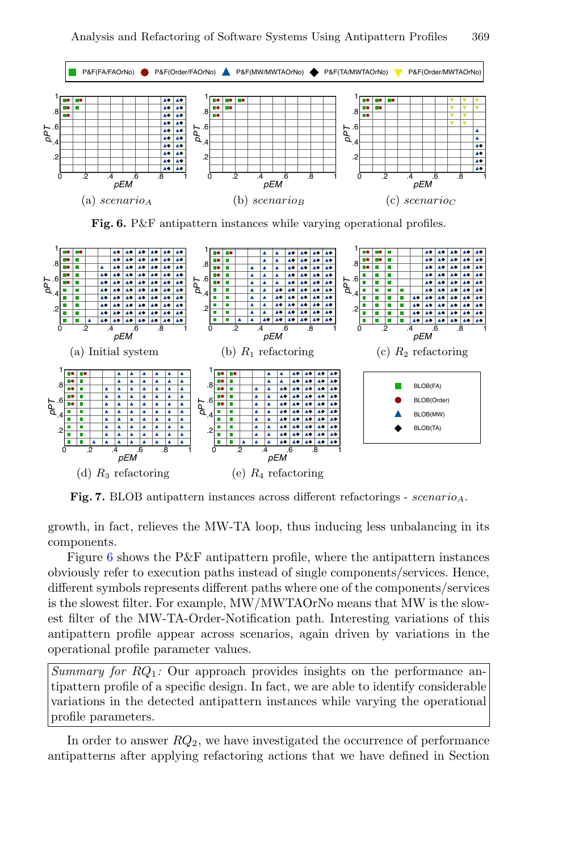

<span id="page-12-0"></span>Fig. 6. P&F antipattern instances while varying operational profiles.



<span id="page-12-1"></span>Fig. 7. BLOB antipattern instances across different refactorings -  $scenario_A$ .

growth, in fact, relieves the MW-TA loop, thus inducing less unbalancing in its components.

Figure [6](#page-12-0) shows the P&F antipattern profile, where the antipattern instances obviously refer to execution paths instead of single components/services. Hence, different symbols represents different paths where one of the components/services is the slowest filter. For example, MW/MWTAOrNo means that MW is the slowest filter of the MW-TA-Order-Notification path. Interesting variations of this antipattern profile appear across scenarios, again driven by variations in the operational profile parameter values.

Summary for  $RQ_1$ : Our approach provides insights on the performance antipattern profile of a specific design. In fact, we are able to identify considerable variations in the detected antipattern instances while varying the operational profile parameters.

In order to answer  $RQ_2$ , we have investigated the occurrence of performance antipatterns after applying refactoring actions that we have defined in Section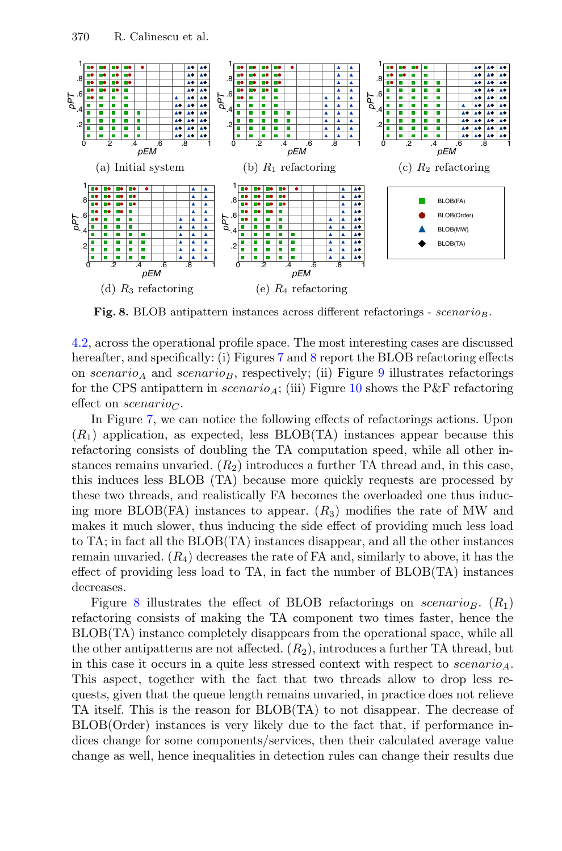

<span id="page-13-0"></span>Fig. 8. BLOB antipattern instances across different refactorings - scenario<sub>B</sub>.

[4.2,](#page-9-0) across the operational profile space. The most interesting cases are discussed hereafter, and specifically: (i) Figures [7](#page-12-1) and [8](#page-13-0) report the BLOB refactoring effects on scenario<sub>A</sub> and scenario<sub>B</sub>, respectively; (ii) Figure [9](#page-14-0) illustrates refactorings for the CPS antipattern in scenario<sub>A</sub>; (iii) Figure [10](#page-15-1) shows the P&F refactoring effect on scenario<sub>C</sub>.

In Figure [7,](#page-12-1) we can notice the following effects of refactorings actions. Upon  $(R_1)$  application, as expected, less BLOB(TA) instances appear because this refactoring consists of doubling the TA computation speed, while all other instances remains unvaried.  $(R_2)$  introduces a further TA thread and, in this case, this induces less BLOB (TA) because more quickly requests are processed by these two threads, and realistically FA becomes the overloaded one thus inducing more BLOB(FA) instances to appear.  $(R_3)$  modifies the rate of MW and makes it much slower, thus inducing the side effect of providing much less load to TA; in fact all the BLOB(TA) instances disappear, and all the other instances remain unvaried.  $(R_4)$  decreases the rate of FA and, similarly to above, it has the effect of providing less load to TA, in fact the number of BLOB(TA) instances decreases.

Figure [8](#page-13-0) illustrates the effect of BLOB refactorings on *scenario<sub>B</sub>*.  $(R_1)$ refactoring consists of making the TA component two times faster, hence the BLOB(TA) instance completely disappears from the operational space, while all the other antipatterns are not affected.  $(R_2)$ , introduces a further TA thread, but in this case it occurs in a quite less stressed context with respect to  $scenarios$ . This aspect, together with the fact that two threads allow to drop less requests, given that the queue length remains unvaried, in practice does not relieve TA itself. This is the reason for BLOB(TA) to not disappear. The decrease of BLOB(Order) instances is very likely due to the fact that, if performance indices change for some components/services, then their calculated average value change as well, hence inequalities in detection rules can change their results due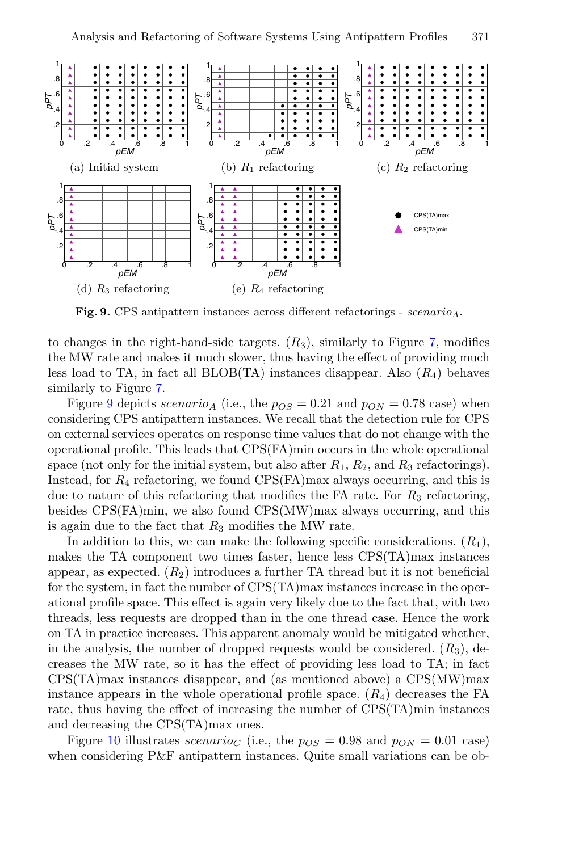

<span id="page-14-0"></span>Fig. 9. CPS antipattern instances across different refactorings - scenario<sub>A</sub>.

to changes in the right-hand-side targets.  $(R_3)$ , similarly to Figure [7,](#page-12-1) modifies the MW rate and makes it much slower, thus having the effect of providing much less load to TA, in fact all BLOB(TA) instances disappear. Also  $(R_4)$  behaves similarly to Figure [7.](#page-12-1)

Figure [9](#page-14-0) depicts scenario<sub>A</sub> (i.e., the  $p_{OS} = 0.21$  and  $p_{ON} = 0.78$  case) when considering CPS antipattern instances. We recall that the detection rule for CPS on external services operates on response time values that do not change with the operational profile. This leads that CPS(FA)min occurs in the whole operational space (not only for the initial system, but also after  $R_1, R_2$ , and  $R_3$  refactorings). Instead, for  $R_4$  refactoring, we found CPS(FA)max always occurring, and this is due to nature of this refactoring that modifies the FA rate. For  $R_3$  refactoring, besides CPS(FA)min, we also found CPS(MW)max always occurring, and this is again due to the fact that  $R_3$  modifies the MW rate.

In addition to this, we can make the following specific considerations.  $(R_1)$ , makes the TA component two times faster, hence less CPS(TA)max instances appear, as expected.  $(R_2)$  introduces a further TA thread but it is not beneficial for the system, in fact the number of CPS(TA)max instances increase in the operational profile space. This effect is again very likely due to the fact that, with two threads, less requests are dropped than in the one thread case. Hence the work on TA in practice increases. This apparent anomaly would be mitigated whether, in the analysis, the number of dropped requests would be considered.  $(R_3)$ , decreases the MW rate, so it has the effect of providing less load to TA; in fact CPS(TA)max instances disappear, and (as mentioned above) a CPS(MW)max instance appears in the whole operational profile space.  $(R_4)$  decreases the FA rate, thus having the effect of increasing the number of CPS(TA)min instances and decreasing the CPS(TA)max ones.

Figure [10](#page-15-1) illustrates scenario<sub>C</sub> (i.e., the  $p_{OS} = 0.98$  and  $p_{ON} = 0.01$  case) when considering P&F antipattern instances. Quite small variations can be ob-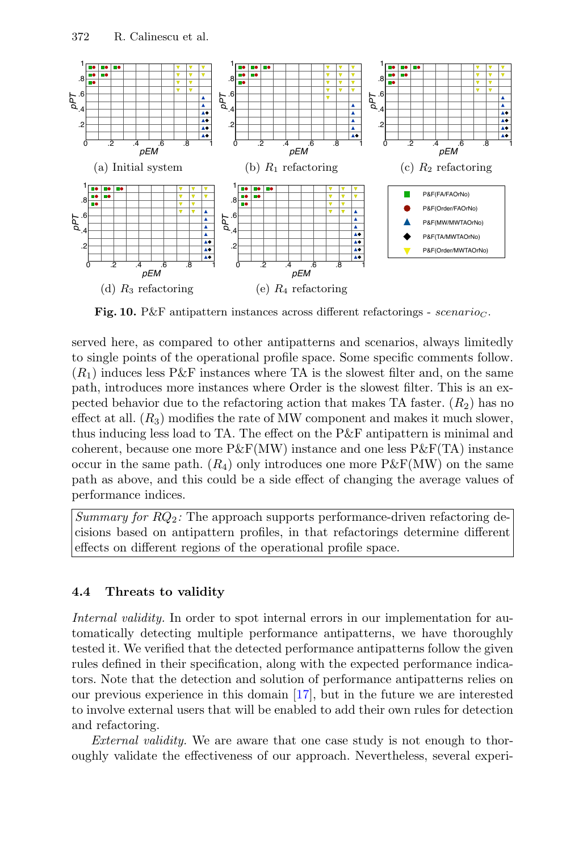

<span id="page-15-1"></span>Fig. 10. P&F antipattern instances across different refactorings - scenarioc.

served here, as compared to other antipatterns and scenarios, always limitedly to single points of the operational profile space. Some specific comments follow.  $(R_1)$  induces less P&F instances where TA is the slowest filter and, on the same path, introduces more instances where Order is the slowest filter. This is an expected behavior due to the refactoring action that makes TA faster.  $(R_2)$  has no effect at all.  $(R_3)$  modifies the rate of MW component and makes it much slower, thus inducing less load to TA. The effect on the P&F antipattern is minimal and coherent, because one more  $P\&F(MW)$  instance and one less  $P\&F(TA)$  instance occur in the same path.  $(R_4)$  only introduces one more  $P\&F(MW)$  on the same path as above, and this could be a side effect of changing the average values of performance indices.

Summary for  $RQ_2$ : The approach supports performance-driven refactoring decisions based on antipattern profiles, in that refactorings determine different effects on different regions of the operational profile space.

## <span id="page-15-0"></span>4.4 Threats to validity

Internal validity. In order to spot internal errors in our implementation for automatically detecting multiple performance antipatterns, we have thoroughly tested it. We verified that the detected performance antipatterns follow the given rules defined in their specification, along with the expected performance indicators. Note that the detection and solution of performance antipatterns relies on our previous experience in this domain [\[17\]](#page-18-10), but in the future we are interested to involve external users that will be enabled to add their own rules for detection and refactoring.

External validity. We are aware that one case study is not enough to thoroughly validate the effectiveness of our approach. Nevertheless, several experi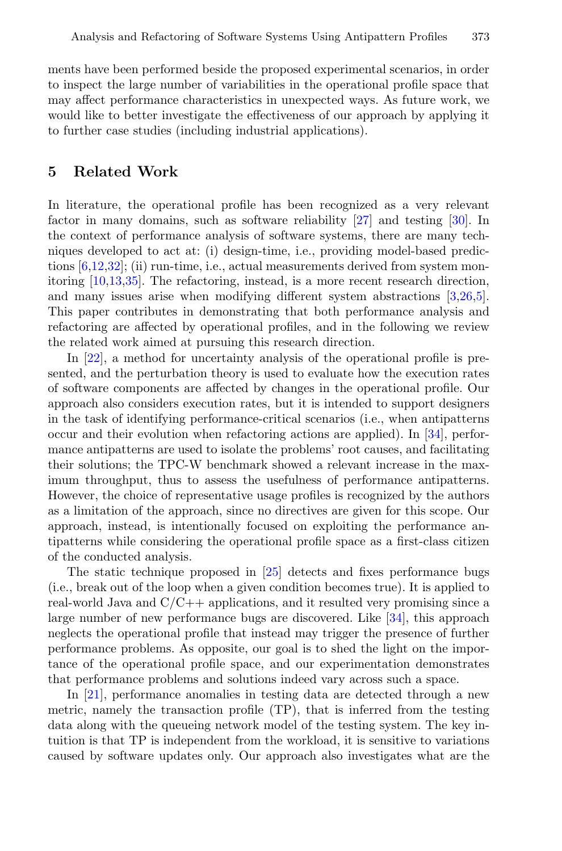ments have been performed beside the proposed experimental scenarios, in order to inspect the large number of variabilities in the operational profile space that may affect performance characteristics in unexpected ways. As future work, we would like to better investigate the effectiveness of our approach by applying it to further case studies (including industrial applications).

### <span id="page-16-0"></span>5 Related Work

In literature, the operational profile has been recognized as a very relevant factor in many domains, such as software reliability [\[27\]](#page-19-6) and testing [\[30\]](#page-19-7). In the context of performance analysis of software systems, there are many techniques developed to act at: (i) design-time, i.e., providing model-based predictions  $[6,12,32]$  $[6,12,32]$  $[6,12,32]$ ; (ii) run-time, i.e., actual measurements derived from system monitoring [\[10,](#page-18-14)[13](#page-18-15)[,35\]](#page-19-9). The refactoring, instead, is a more recent research direction, and many issues arise when modifying different system abstractions [\[3,](#page-18-16)[26,](#page-19-10)[5\]](#page-18-17). This paper contributes in demonstrating that both performance analysis and refactoring are affected by operational profiles, and in the following we review the related work aimed at pursuing this research direction.

In [\[22\]](#page-19-11), a method for uncertainty analysis of the operational profile is presented, and the perturbation theory is used to evaluate how the execution rates of software components are affected by changes in the operational profile. Our approach also considers execution rates, but it is intended to support designers in the task of identifying performance-critical scenarios (i.e., when antipatterns occur and their evolution when refactoring actions are applied). In [\[34\]](#page-19-12), performance antipatterns are used to isolate the problems' root causes, and facilitating their solutions; the TPC-W benchmark showed a relevant increase in the maximum throughput, thus to assess the usefulness of performance antipatterns. However, the choice of representative usage profiles is recognized by the authors as a limitation of the approach, since no directives are given for this scope. Our approach, instead, is intentionally focused on exploiting the performance antipatterns while considering the operational profile space as a first-class citizen of the conducted analysis.

The static technique proposed in [\[25\]](#page-19-13) detects and fixes performance bugs (i.e., break out of the loop when a given condition becomes true). It is applied to real-world Java and  $C/C++$  applications, and it resulted very promising since a large number of new performance bugs are discovered. Like [\[34\]](#page-19-12), this approach neglects the operational profile that instead may trigger the presence of further performance problems. As opposite, our goal is to shed the light on the importance of the operational profile space, and our experimentation demonstrates that performance problems and solutions indeed vary across such a space.

In [\[21\]](#page-19-14), performance anomalies in testing data are detected through a new metric, namely the transaction profile (TP), that is inferred from the testing data along with the queueing network model of the testing system. The key intuition is that TP is independent from the workload, it is sensitive to variations caused by software updates only. Our approach also investigates what are the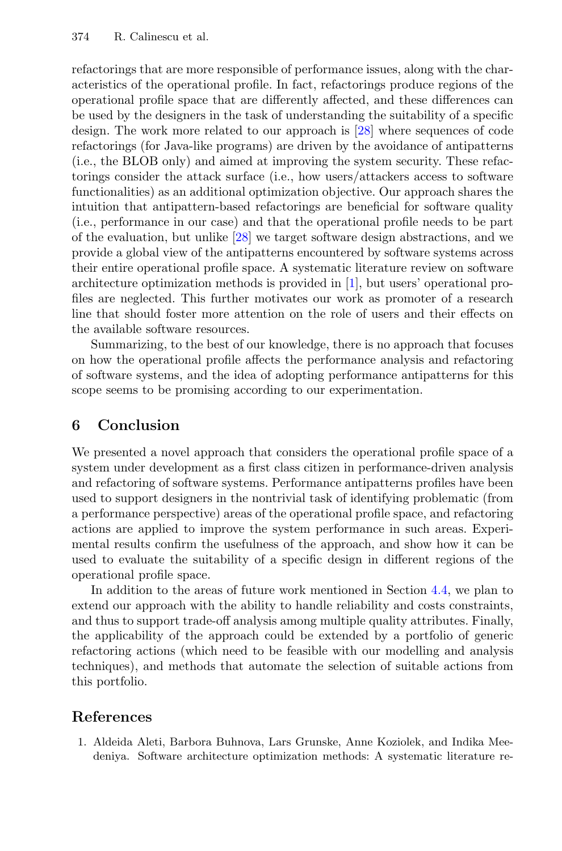refactorings that are more responsible of performance issues, along with the characteristics of the operational profile. In fact, refactorings produce regions of the operational profile space that are differently affected, and these differences can be used by the designers in the task of understanding the suitability of a specific design. The work more related to our approach is [\[28\]](#page-19-15) where sequences of code refactorings (for Java-like programs) are driven by the avoidance of antipatterns (i.e., the BLOB only) and aimed at improving the system security. These refactorings consider the attack surface (i.e., how users/attackers access to software functionalities) as an additional optimization objective. Our approach shares the intuition that antipattern-based refactorings are beneficial for software quality (i.e., performance in our case) and that the operational profile needs to be part of the evaluation, but unlike [\[28\]](#page-19-15) we target software design abstractions, and we provide a global view of the antipatterns encountered by software systems across their entire operational profile space. A systematic literature review on software architecture optimization methods is provided in [\[1\]](#page-17-1), but users' operational profiles are neglected. This further motivates our work as promoter of a research line that should foster more attention on the role of users and their effects on the available software resources.

Summarizing, to the best of our knowledge, there is no approach that focuses on how the operational profile affects the performance analysis and refactoring of software systems, and the idea of adopting performance antipatterns for this scope seems to be promising according to our experimentation.

## <span id="page-17-0"></span>6 Conclusion

We presented a novel approach that considers the operational profile space of a system under development as a first class citizen in performance-driven analysis and refactoring of software systems. Performance antipatterns profiles have been used to support designers in the nontrivial task of identifying problematic (from a performance perspective) areas of the operational profile space, and refactoring actions are applied to improve the system performance in such areas. Experimental results confirm the usefulness of the approach, and show how it can be used to evaluate the suitability of a specific design in different regions of the operational profile space.

In addition to the areas of future work mentioned in Section [4.4,](#page-15-0) we plan to extend our approach with the ability to handle reliability and costs constraints, and thus to support trade-off analysis among multiple quality attributes. Finally, the applicability of the approach could be extended by a portfolio of generic refactoring actions (which need to be feasible with our modelling and analysis techniques), and methods that automate the selection of suitable actions from this portfolio.

# References

<span id="page-17-1"></span>1. Aldeida Aleti, Barbora Buhnova, Lars Grunske, Anne Koziolek, and Indika Meedeniya. Software architecture optimization methods: A systematic literature re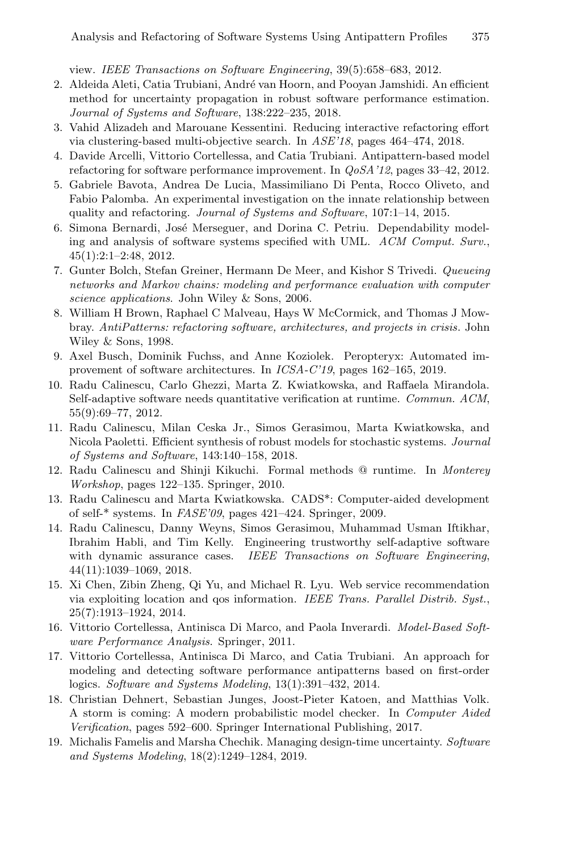view. IEEE Transactions on Software Engineering, 39(5):658–683, 2012.

- <span id="page-18-5"></span>2. Aldeida Aleti, Catia Trubiani, André van Hoorn, and Pooyan Jamshidi. An efficient method for uncertainty propagation in robust software performance estimation. Journal of Systems and Software, 138:222–235, 2018.
- <span id="page-18-16"></span>3. Vahid Alizadeh and Marouane Kessentini. Reducing interactive refactoring effort via clustering-based multi-objective search. In ASE'18, pages 464–474, 2018.
- <span id="page-18-3"></span>4. Davide Arcelli, Vittorio Cortellessa, and Catia Trubiani. Antipattern-based model refactoring for software performance improvement. In QoSA'12, pages 33–42, 2012.
- <span id="page-18-17"></span>5. Gabriele Bavota, Andrea De Lucia, Massimiliano Di Penta, Rocco Oliveto, and Fabio Palomba. An experimental investigation on the innate relationship between quality and refactoring. Journal of Systems and Software, 107:1–14, 2015.
- <span id="page-18-12"></span>6. Simona Bernardi, José Merseguer, and Dorina C. Petriu. Dependability modeling and analysis of software systems specified with UML. ACM Comput. Surv., 45(1):2:1–2:48, 2012.
- <span id="page-18-1"></span>7. Gunter Bolch, Stefan Greiner, Hermann De Meer, and Kishor S Trivedi. Queueing networks and Markov chains: modeling and performance evaluation with computer science applications. John Wiley & Sons, 2006.
- <span id="page-18-0"></span>8. William H Brown, Raphael C Malveau, Hays W McCormick, and Thomas J Mowbray. AntiPatterns: refactoring software, architectures, and projects in crisis. John Wiley & Sons, 1998.
- <span id="page-18-4"></span>9. Axel Busch, Dominik Fuchss, and Anne Koziolek. Peropteryx: Automated improvement of software architectures. In ICSA-C'19, pages 162–165, 2019.
- <span id="page-18-14"></span>10. Radu Calinescu, Carlo Ghezzi, Marta Z. Kwiatkowska, and Raffaela Mirandola. Self-adaptive software needs quantitative verification at runtime. Commun. ACM, 55(9):69–77, 2012.
- <span id="page-18-6"></span>11. Radu Calinescu, Milan Ceska Jr., Simos Gerasimou, Marta Kwiatkowska, and Nicola Paoletti. Efficient synthesis of robust models for stochastic systems. Journal of Systems and Software, 143:140–158, 2018.
- <span id="page-18-13"></span>12. Radu Calinescu and Shinji Kikuchi. Formal methods @ runtime. In Monterey Workshop, pages 122–135. Springer, 2010.
- <span id="page-18-15"></span>13. Radu Calinescu and Marta Kwiatkowska. CADS\*: Computer-aided development of self-\* systems. In FASE'09, pages 421–424. Springer, 2009.
- <span id="page-18-8"></span>14. Radu Calinescu, Danny Weyns, Simos Gerasimou, Muhammad Usman Iftikhar, Ibrahim Habli, and Tim Kelly. Engineering trustworthy self-adaptive software with dynamic assurance cases. IEEE Transactions on Software Engineering, 44(11):1039–1069, 2018.
- <span id="page-18-11"></span>15. Xi Chen, Zibin Zheng, Qi Yu, and Michael R. Lyu. Web service recommendation via exploiting location and qos information. IEEE Trans. Parallel Distrib. Syst., 25(7):1913–1924, 2014.
- <span id="page-18-2"></span>16. Vittorio Cortellessa, Antinisca Di Marco, and Paola Inverardi. Model-Based Software Performance Analysis. Springer, 2011.
- <span id="page-18-10"></span>17. Vittorio Cortellessa, Antinisca Di Marco, and Catia Trubiani. An approach for modeling and detecting software performance antipatterns based on first-order logics. Software and Systems Modeling, 13(1):391–432, 2014.
- <span id="page-18-9"></span>18. Christian Dehnert, Sebastian Junges, Joost-Pieter Katoen, and Matthias Volk. A storm is coming: A modern probabilistic model checker. In Computer Aided Verification, pages 592–600. Springer International Publishing, 2017.
- <span id="page-18-7"></span>19. Michalis Famelis and Marsha Chechik. Managing design-time uncertainty. Software and Systems Modeling, 18(2):1249–1284, 2019.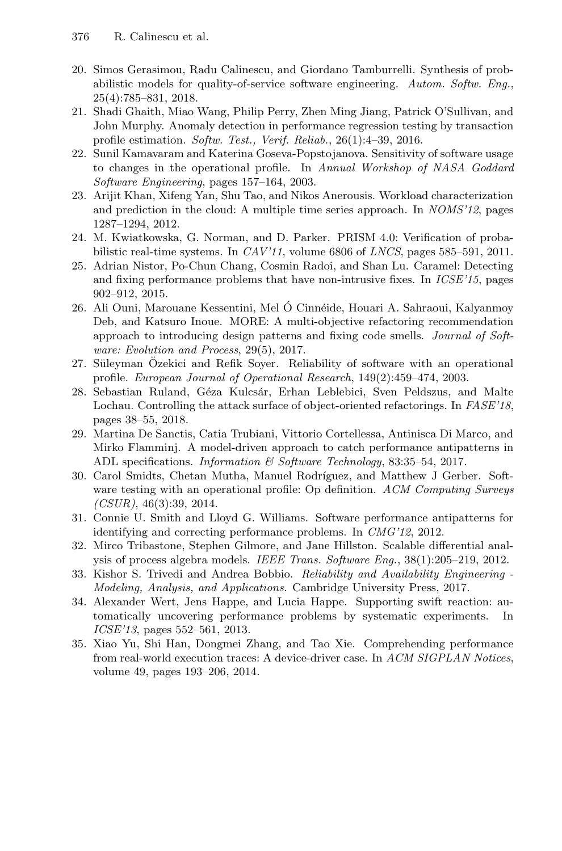- <span id="page-19-2"></span>20. Simos Gerasimou, Radu Calinescu, and Giordano Tamburrelli. Synthesis of probabilistic models for quality-of-service software engineering. Autom. Softw. Eng., 25(4):785–831, 2018.
- <span id="page-19-14"></span>21. Shadi Ghaith, Miao Wang, Philip Perry, Zhen Ming Jiang, Patrick O'Sullivan, and John Murphy. Anomaly detection in performance regression testing by transaction profile estimation. Softw. Test., Verif. Reliab., 26(1):4–39, 2016.
- <span id="page-19-11"></span>22. Sunil Kamavaram and Katerina Goseva-Popstojanova. Sensitivity of software usage to changes in the operational profile. In Annual Workshop of NASA Goddard Software Engineering, pages 157–164, 2003.
- <span id="page-19-5"></span>23. Arijit Khan, Xifeng Yan, Shu Tao, and Nikos Anerousis. Workload characterization and prediction in the cloud: A multiple time series approach. In NOMS'12, pages 1287–1294, 2012.
- <span id="page-19-3"></span>24. M. Kwiatkowska, G. Norman, and D. Parker. PRISM 4.0: Verification of probabilistic real-time systems. In  $CAV'11$ , volume 6806 of LNCS, pages 585–591, 2011.
- <span id="page-19-13"></span>25. Adrian Nistor, Po-Chun Chang, Cosmin Radoi, and Shan Lu. Caramel: Detecting and fixing performance problems that have non-intrusive fixes. In ICSE'15, pages 902–912, 2015.
- <span id="page-19-10"></span>26. Ali Ouni, Marouane Kessentini, Mel O Cinn´eide, Houari A. Sahraoui, Kalyanmoy ´ Deb, and Katsuro Inoue. MORE: A multi-objective refactoring recommendation approach to introducing design patterns and fixing code smells. Journal of Software: Evolution and Process, 29(5), 2017.
- <span id="page-19-6"></span>27. Süleyman Özekici and Refik Soyer. Reliability of software with an operational profile. European Journal of Operational Research, 149(2):459–474, 2003.
- <span id="page-19-15"></span>28. Sebastian Ruland, Géza Kulcsár, Erhan Leblebici, Sven Peldszus, and Malte Lochau. Controlling the attack surface of object-oriented refactorings. In FASE'18, pages 38–55, 2018.
- <span id="page-19-4"></span>29. Martina De Sanctis, Catia Trubiani, Vittorio Cortellessa, Antinisca Di Marco, and Mirko Flamminj. A model-driven approach to catch performance antipatterns in ADL specifications. Information & Software Technology, 83:35–54, 2017.
- <span id="page-19-7"></span>30. Carol Smidts, Chetan Mutha, Manuel Rodríguez, and Matthew J Gerber. Software testing with an operational profile: Op definition. ACM Computing Surveys  $(CSUR)$ , 46(3):39, 2014.
- <span id="page-19-0"></span>31. Connie U. Smith and Lloyd G. Williams. Software performance antipatterns for identifying and correcting performance problems. In CMG'12, 2012.
- <span id="page-19-8"></span>32. Mirco Tribastone, Stephen Gilmore, and Jane Hillston. Scalable differential analysis of process algebra models. IEEE Trans. Software Eng., 38(1):205–219, 2012.
- <span id="page-19-1"></span>33. Kishor S. Trivedi and Andrea Bobbio. Reliability and Availability Engineering - Modeling, Analysis, and Applications. Cambridge University Press, 2017.
- <span id="page-19-12"></span>34. Alexander Wert, Jens Happe, and Lucia Happe. Supporting swift reaction: automatically uncovering performance problems by systematic experiments. In ICSE'13, pages 552–561, 2013.
- <span id="page-19-9"></span>35. Xiao Yu, Shi Han, Dongmei Zhang, and Tao Xie. Comprehending performance from real-world execution traces: A device-driver case. In ACM SIGPLAN Notices, volume 49, pages 193–206, 2014.